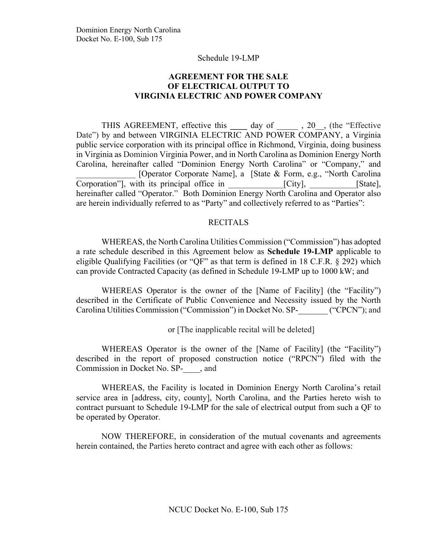## **AGREEMENT FOR THE SALE OF ELECTRICAL OUTPUT TO VIRGINIA ELECTRIC AND POWER COMPANY**

THIS AGREEMENT, effective this day of , 20, the "Effective" Date") by and between VIRGINIA ELECTRIC AND POWER COMPANY, a Virginia public service corporation with its principal office in Richmond, Virginia, doing business in Virginia as Dominion Virginia Power, and in North Carolina as Dominion Energy North Carolina, hereinafter called "Dominion Energy North Carolina" or "Company," and \_\_\_\_\_\_\_\_\_\_\_\_\_\_ [Operator Corporate Name], a [State & Form, e.g., "North Carolina Corporation"], with its principal office in \_\_\_\_\_\_\_\_\_\_\_\_\_[City], \_\_\_\_\_\_\_\_\_\_\_[State], hereinafter called "Operator." Both Dominion Energy North Carolina and Operator also are herein individually referred to as "Party" and collectively referred to as "Parties":

#### **RECITALS**

WHEREAS, the North Carolina Utilities Commission ("Commission") has adopted a rate schedule described in this Agreement below as **Schedule 19-LMP** applicable to eligible Qualifying Facilities (or "QF" as that term is defined in 18 C.F.R. § 292) which can provide Contracted Capacity (as defined in Schedule 19-LMP up to 1000 kW; and

WHEREAS Operator is the owner of the [Name of Facility] (the "Facility") described in the Certificate of Public Convenience and Necessity issued by the North Carolina Utilities Commission ("Commission") in Docket No. SP-\_\_\_\_\_\_\_ ("CPCN"); and

or [The inapplicable recital will be deleted]

WHEREAS Operator is the owner of the [Name of Facility] (the "Facility") described in the report of proposed construction notice ("RPCN") filed with the Commission in Docket No. SP-\_\_\_\_, and

WHEREAS, the Facility is located in Dominion Energy North Carolina's retail service area in [address, city, county], North Carolina, and the Parties hereto wish to contract pursuant to Schedule 19-LMP for the sale of electrical output from such a QF to be operated by Operator.

NOW THEREFORE, in consideration of the mutual covenants and agreements herein contained, the Parties hereto contract and agree with each other as follows: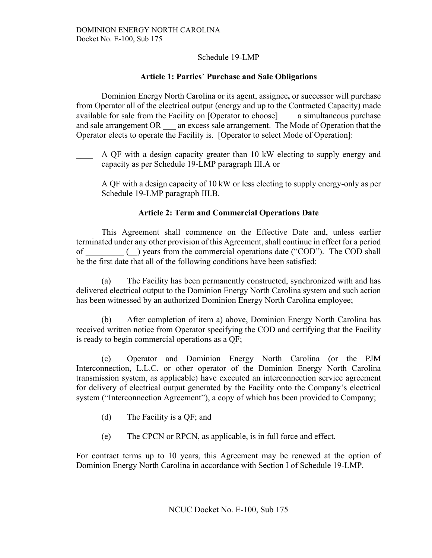## **Article 1: Parties**' **Purchase and Sale Obligations**

Dominion Energy North Carolina or its agent, assignee**,** or successor will purchase from Operator all of the electrical output (energy and up to the Contracted Capacity) made available for sale from the Facility on [Operator to choose] a simultaneous purchase and sale arrangement OR an excess sale arrangement. The Mode of Operation that the Operator elects to operate the Facility is. [Operator to select Mode of Operation]:

- A QF with a design capacity greater than 10 kW electing to supply energy and capacity as per Schedule 19-LMP paragraph III.A or
- A QF with a design capacity of 10 kW or less electing to supply energy-only as per Schedule 19-LMP paragraph III.B.

## **Article 2: Term and Commercial Operations Date**

This Agreement shall commence on the Effective Date and, unless earlier terminated under any other provision of this Agreement, shall continue in effect for a period of \_\_\_\_\_\_\_\_\_ (\_\_) years from the commercial operations date ("COD").The COD shall be the first date that all of the following conditions have been satisfied:

(a) The Facility has been permanently constructed, synchronized with and has delivered electrical output to the Dominion Energy North Carolina system and such action has been witnessed by an authorized Dominion Energy North Carolina employee;

(b) After completion of item a) above, Dominion Energy North Carolina has received written notice from Operator specifying the COD and certifying that the Facility is ready to begin commercial operations as a QF;

(c) Operator and Dominion Energy North Carolina (or the PJM Interconnection, L.L.C. or other operator of the Dominion Energy North Carolina transmission system, as applicable) have executed an interconnection service agreement for delivery of electrical output generated by the Facility onto the Company's electrical system ("Interconnection Agreement"), a copy of which has been provided to Company;

- (d) The Facility is a QF; and
- (e) The CPCN or RPCN, as applicable, is in full force and effect.

For contract terms up to 10 years, this Agreement may be renewed at the option of Dominion Energy North Carolina in accordance with Section I of Schedule 19-LMP.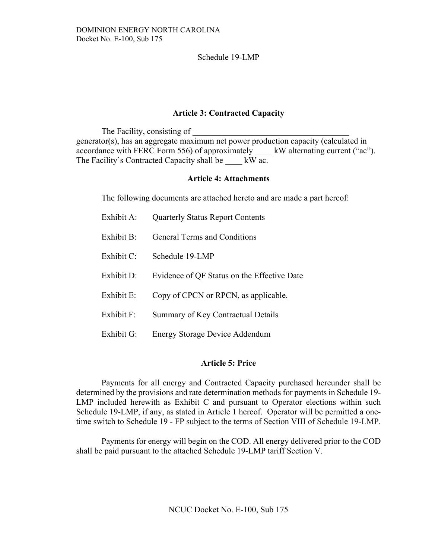### **Article 3: Contracted Capacity**

The Facility, consisting of generator(s), has an aggregate maximum net power production capacity (calculated in accordance with FERC Form 556) of approximately <br>kW alternating current ("ac"). The Facility's Contracted Capacity shall be  $\quad$  kW ac.

#### **Article 4: Attachments**

The following documents are attached hereto and are made a part hereof:

| Exhibit A:    | <b>Quarterly Status Report Contents</b>     |
|---------------|---------------------------------------------|
| Exhibit B:    | General Terms and Conditions                |
| Exhibit $C$ : | Schedule 19-LMP                             |
| Exhibit D:    | Evidence of QF Status on the Effective Date |
| Exhibit E:    | Copy of CPCN or RPCN, as applicable.        |
| Exhibit F:    | Summary of Key Contractual Details          |
| Exhibit G:    | <b>Energy Storage Device Addendum</b>       |

### **Article 5: Price**

Payments for all energy and Contracted Capacity purchased hereunder shall be determined by the provisions and rate determination methods for payments in Schedule 19- LMP included herewith as Exhibit C and pursuant to Operator elections within such Schedule 19-LMP, if any, as stated in Article 1 hereof. Operator will be permitted a onetime switch to Schedule 19 - FP subject to the terms of Section VIII of Schedule 19-LMP.

Payments for energy will begin on the COD. All energy delivered prior to the COD shall be paid pursuant to the attached Schedule 19-LMP tariff Section V.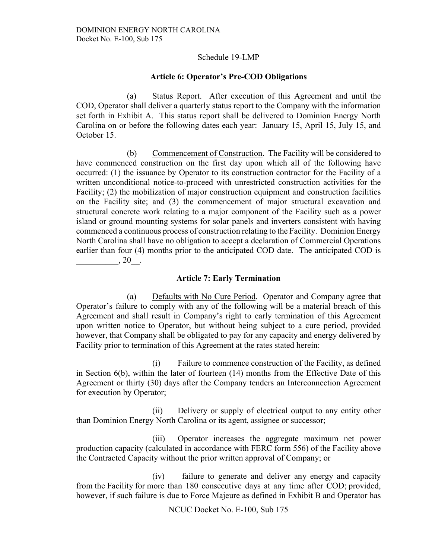#### **Article 6: Operator's Pre-COD Obligations**

(a) Status Report. After execution of this Agreement and until the COD, Operator shall deliver a quarterly status report to the Company with the information set forth in Exhibit A. This status report shall be delivered to Dominion Energy North Carolina on or before the following dates each year: January 15, April 15, July 15, and October 15.

(b) Commencement of Construction. The Facility will be considered to have commenced construction on the first day upon which all of the following have occurred: (1) the issuance by Operator to its construction contractor for the Facility of a written unconditional notice-to-proceed with unrestricted construction activities for the Facility; (2) the mobilization of major construction equipment and construction facilities on the Facility site; and (3) the commencement of major structural excavation and structural concrete work relating to a major component of the Facility such as a power island or ground mounting systems for solar panels and inverters consistent with having commenced a continuous process of construction relating to the Facility. Dominion Energy North Carolina shall have no obligation to accept a declaration of Commercial Operations earlier than four (4) months prior to the anticipated COD date. The anticipated COD is  $, 20$ .

#### **Article 7: Early Termination**

(a) Defaults with No Cure Period. Operator and Company agree that Operator's failure to comply with any of the following will be a material breach of this Agreement and shall result in Company's right to early termination of this Agreement upon written notice to Operator, but without being subject to a cure period, provided however, that Company shall be obligated to pay for any capacity and energy delivered by Facility prior to termination of this Agreement at the rates stated herein:

(i) Failure to commence construction of the Facility, as defined in Section 6(b), within the later of fourteen (14) months from the Effective Date of this Agreement or thirty (30) days after the Company tenders an Interconnection Agreement for execution by Operator;

(ii) Delivery or supply of electrical output to any entity other than Dominion Energy North Carolina or its agent, assignee or successor;

(iii) Operator increases the aggregate maximum net power production capacity (calculated in accordance with FERC form 556) of the Facility above the Contracted Capacity without the prior written approval of Company; or

(iv) failure to generate and deliver any energy and capacity from the Facility for more than 180 consecutive days at any time after COD; provided, however, if such failure is due to Force Majeure as defined in Exhibit B and Operator has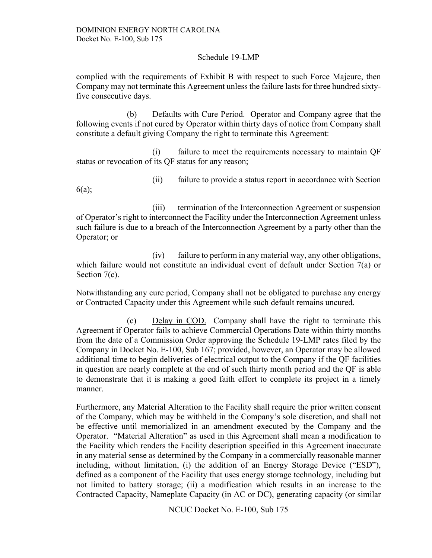complied with the requirements of Exhibit B with respect to such Force Majeure, then Company may not terminate this Agreement unless the failure lasts for three hundred sixtyfive consecutive days.

(b) Defaults with Cure Period. Operator and Company agree that the following events if not cured by Operator within thirty days of notice from Company shall constitute a default giving Company the right to terminate this Agreement:

(i) failure to meet the requirements necessary to maintain QF status or revocation of its QF status for any reason;

(ii) failure to provide a status report in accordance with Section

6(a);

(iii) termination of the Interconnection Agreement or suspension of Operator's right to interconnect the Facility under the Interconnection Agreement unless such failure is due to **a** breach of the Interconnection Agreement by a party other than the Operator; or

(iv) failure to perform in any material way, any other obligations, which failure would not constitute an individual event of default under Section 7(a) or Section 7(c).

Notwithstanding any cure period, Company shall not be obligated to purchase any energy or Contracted Capacity under this Agreement while such default remains uncured.

(c) Delay in COD. Company shall have the right to terminate this Agreement if Operator fails to achieve Commercial Operations Date within thirty months from the date of a Commission Order approving the Schedule 19-LMP rates filed by the Company in Docket No. E-100, Sub 167; provided, however, an Operator may be allowed additional time to begin deliveries of electrical output to the Company if the QF facilities in question are nearly complete at the end of such thirty month period and the QF is able to demonstrate that it is making a good faith effort to complete its project in a timely manner.

Furthermore, any Material Alteration to the Facility shall require the prior written consent of the Company, which may be withheld in the Company's sole discretion, and shall not be effective until memorialized in an amendment executed by the Company and the Operator. "Material Alteration" as used in this Agreement shall mean a modification to the Facility which renders the Facility description specified in this Agreement inaccurate in any material sense as determined by the Company in a commercially reasonable manner including, without limitation, (i) the addition of an Energy Storage Device ("ESD"), defined as a component of the Facility that uses energy storage technology, including but not limited to battery storage; (ii) a modification which results in an increase to the Contracted Capacity, Nameplate Capacity (in AC or DC), generating capacity (or similar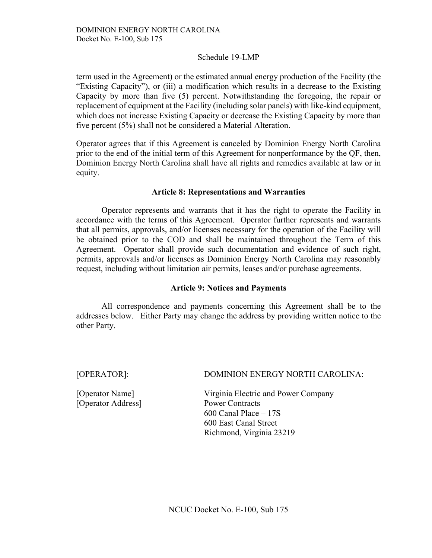term used in the Agreement) or the estimated annual energy production of the Facility (the "Existing Capacity"), or (iii) a modification which results in a decrease to the Existing Capacity by more than five (5) percent. Notwithstanding the foregoing, the repair or replacement of equipment at the Facility (including solar panels) with like-kind equipment, which does not increase Existing Capacity or decrease the Existing Capacity by more than five percent (5%) shall not be considered a Material Alteration.

Operator agrees that if this Agreement is canceled by Dominion Energy North Carolina prior to the end of the initial term of this Agreement for nonperformance by the QF, then, Dominion Energy North Carolina shall have all rights and remedies available at law or in equity.

#### **Article 8: Representations and Warranties**

Operator represents and warrants that it has the right to operate the Facility in accordance with the terms of this Agreement. Operator further represents and warrants that all permits, approvals, and/or licenses necessary for the operation of the Facility will be obtained prior to the COD and shall be maintained throughout the Term of this Agreement. Operator shall provide such documentation and evidence of such right, permits, approvals and/or licenses as Dominion Energy North Carolina may reasonably request, including without limitation air permits, leases and/or purchase agreements.

#### **Article 9: Notices and Payments**

All correspondence and payments concerning this Agreement shall be to the addresses below. Either Party may change the address by providing written notice to the other Party.

[Operator Name] [Operator Address]

[OPERATOR]: DOMINION ENERGY NORTH CAROLINA:

Virginia Electric and Power Company Power Contracts 600 Canal Place – 17S 600 East Canal Street Richmond, Virginia 23219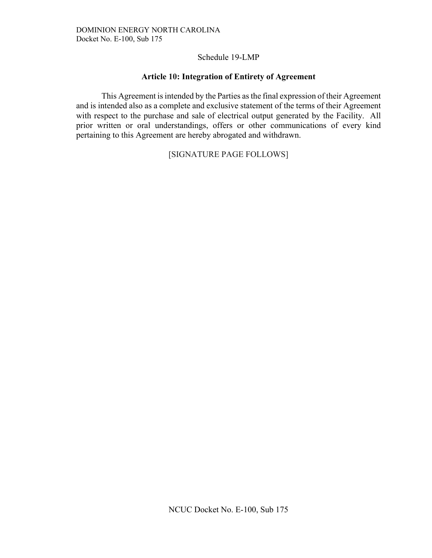## **Article 10: Integration of Entirety of Agreement**

This Agreement is intended by the Parties as the final expression of their Agreement and is intended also as a complete and exclusive statement of the terms of their Agreement with respect to the purchase and sale of electrical output generated by the Facility. All prior written or oral understandings, offers or other communications of every kind pertaining to this Agreement are hereby abrogated and withdrawn.

## [SIGNATURE PAGE FOLLOWS]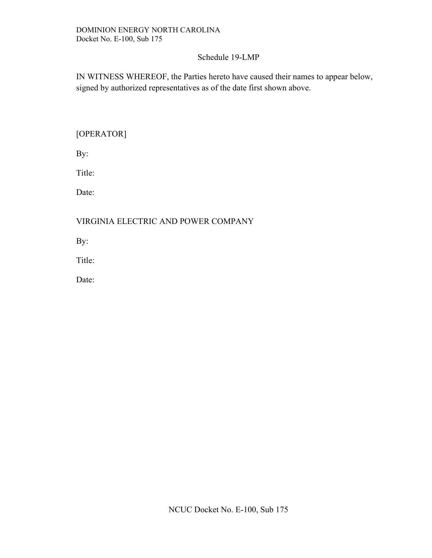IN WITNESS WHEREOF, the Parties hereto have caused their names to appear below, signed by authorized representatives as of the date first shown above.

[OPERATOR]

By:

Title:

Date:

## VIRGINIA ELECTRIC AND POWER COMPANY

By:

Title:

Date: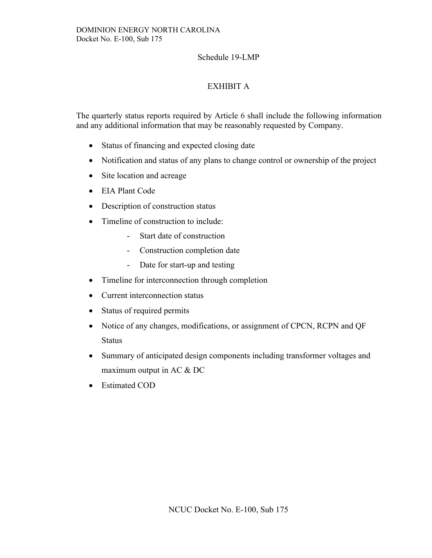# EXHIBIT A

The quarterly status reports required by Article 6 shall include the following information and any additional information that may be reasonably requested by Company.

- Status of financing and expected closing date
- Notification and status of any plans to change control or ownership of the project
- Site location and acreage
- EIA Plant Code
- Description of construction status
- Timeline of construction to include:
	- Start date of construction
	- Construction completion date
	- Date for start-up and testing
- Timeline for interconnection through completion
- Current interconnection status
- Status of required permits
- Notice of any changes, modifications, or assignment of CPCN, RCPN and QF **Status**
- Summary of anticipated design components including transformer voltages and maximum output in AC & DC
- Estimated COD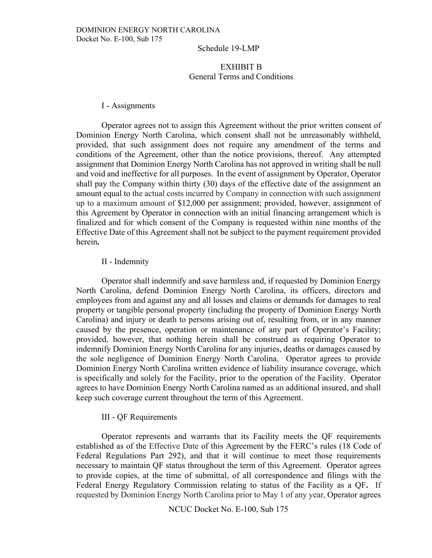### EXHIBIT B General Terms and Conditions

#### I - Assignments

Operator agrees not to assign this Agreement without the prior written consent of Dominion Energy North Carolina, which consent shall not be unreasonably withheld, provided, that such assignment does not require any amendment of the terms and conditions of the Agreement, other than the notice provisions, thereof. Any attempted assignment that Dominion Energy North Carolina has not approved in writing shall be null and void and ineffective for all purposes. In the event of assignment by Operator, Operator shall pay the Company within thirty (30) days of the effective date of the assignment an amount equal to the actual costs incurred by Company in connection with such assignment up to a maximum amount of \$12,000 per assignment; provided, however, assignment of this Agreement by Operator in connection with an initial financing arrangement which is finalized and for which consent of the Company is requested within nine months of the Effective Date of this Agreement shall not be subject to the payment requirement provided herein**.** 

#### II - Indemnity

Operator shall indemnify and save harmless and, if requested by Dominion Energy North Carolina, defend Dominion Energy North Carolina, its officers, directors and employees from and against any and all losses and claims or demands for damages to real property or tangible personal property (including the property of Dominion Energy North Carolina) and injury or death to persons arising out of, resulting from, or in any manner caused by the presence, operation or maintenance of any part of Operator's Facility; provided, however, that nothing herein shall be construed as requiring Operator to indemnify Dominion Energy North Carolina for any injuries, deaths or damages caused by the sole negligence of Dominion Energy North Carolina. Operator agrees to provide Dominion Energy North Carolina written evidence of liability insurance coverage, which is specifically and solely for the Facility, prior to the operation of the Facility. Operator agrees to have Dominion Energy North Carolina named as an additional insured, and shall keep such coverage current throughout the term of this Agreement.

#### III - QF Requirements

Operator represents and warrants that its Facility meets the QF requirements established as of the Effective Date of this Agreement by the FERC's rules (18 Code of Federal Regulations Part 292), and that it will continue to meet those requirements necessary to maintain QF status throughout the term of this Agreement. Operator agrees to provide copies, at the time of submittal, of all correspondence and filings with the Federal Energy Regulatory Commission relating to status of the Facility as a QF**.** If requested by Dominion Energy North Carolina prior to May 1 of any year, Operator agrees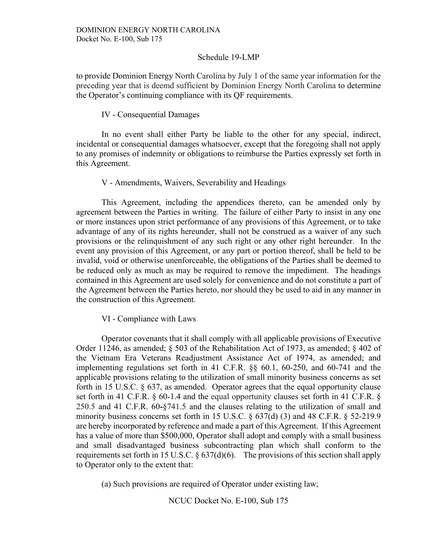to provide Dominion Energy North Carolina by July 1 of the same year information for the preceding year that is deemd sufficient by Dominion Energy North Carolina to determine the Operator's continuing compliance with its QF requirements.

#### IV - Consequential Damages

In no event shall either Party be liable to the other for any special, indirect, incidental or consequential damages whatsoever, except that the foregoing shall not apply to any promises of indemnity or obligations to reimburse the Parties expressly set forth in this Agreement.

#### V - Amendments, Waivers, Severability and Headings

This Agreement, including the appendices thereto, can be amended only by agreement between the Parties in writing. The failure of either Party to insist in any one or more instances upon strict performance of any provisions of this Agreement, or to take advantage of any of its rights hereunder, shall not be construed as a waiver of any such provisions or the relinquishment of any such right or any other right hereunder. In the event any provision of this Agreement, or any part or portion thereof, shall be held to be invalid, void or otherwise unenforceable, the obligations of the Parties shall be deemed to be reduced only as much as may be required to remove the impediment. The headings contained in this Agreement are used solely for convenience and do not constitute a part of the Agreement between the Parties hereto, nor should they be used to aid in any manner in the construction of this Agreement.

VI - Compliance with Laws

Operator covenants that it shall comply with all applicable provisions of Executive Order 11246, as amended; § 503 of the Rehabilitation Act of 1973, as amended; § 402 of the Vietnam Era Veterans Readjustment Assistance Act of 1974, as amended; and implementing regulations set forth in 41 C.F.R. §§ 60.1, 60-250, and 60-741 and the applicable provisions relating to the utilization of small minority business concerns as set forth in 15 U.S.C. § 637, as amended. Operator agrees that the equal opportunity clause set forth in 41 C.F.R. § 60-1.4 and the equal opportunity clauses set forth in 41 C.F.R. § 250.5 and 41 C.F.R. 60**-**§741.5 and the clauses relating to the utilization of small and minority business concerns set forth in 15 U.S.C.  $\S$  637(d) (3) and 48 C.F.R.  $\S$  52-219.9 are hereby incorporated by reference and made a part of this Agreement. If this Agreement has a value of more than \$500,000, Operator shall adopt and comply with a small business and small disadvantaged business subcontracting plan which shall conform to the requirements set forth in 15 U.S.C. § 637(d)(6). The provisions of this section shall apply to Operator only to the extent that:

(a) Such provisions are required of Operator under existing law;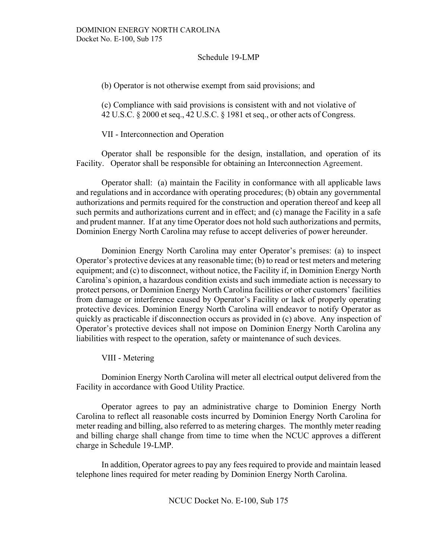(b) Operator is not otherwise exempt from said provisions; and

(c) Compliance with said provisions is consistent with and not violative of 42 U.S.C. § 2000 et seq., 42 U.S.C. § 1981 et seq., or other acts of Congress.

VII - Interconnection and Operation

Operator shall be responsible for the design, installation, and operation of its Facility. Operator shall be responsible for obtaining an Interconnection Agreement.

Operator shall: (a) maintain the Facility in conformance with all applicable laws and regulations and in accordance with operating procedures; (b) obtain any governmental authorizations and permits required for the construction and operation thereof and keep all such permits and authorizations current and in effect; and (c) manage the Facility in a safe and prudent manner. If at any time Operator does not hold such authorizations and permits, Dominion Energy North Carolina may refuse to accept deliveries of power hereunder.

Dominion Energy North Carolina may enter Operator's premises: (a) to inspect Operator's protective devices at any reasonable time; (b) to read or test meters and metering equipment; and (c) to disconnect, without notice, the Facility if, in Dominion Energy North Carolina's opinion, a hazardous condition exists and such immediate action is necessary to protect persons, or Dominion Energy North Carolina facilities or other customers' facilities from damage or interference caused by Operator's Facility or lack of properly operating protective devices. Dominion Energy North Carolina will endeavor to notify Operator as quickly as practicable if disconnection occurs as provided in (c) above. Any inspection of Operator's protective devices shall not impose on Dominion Energy North Carolina any liabilities with respect to the operation, safety or maintenance of such devices.

VIII - Metering

Dominion Energy North Carolina will meter all electrical output delivered from the Facility in accordance with Good Utility Practice.

Operator agrees to pay an administrative charge to Dominion Energy North Carolina to reflect all reasonable costs incurred by Dominion Energy North Carolina for meter reading and billing, also referred to as metering charges. The monthly meter reading and billing charge shall change from time to time when the NCUC approves a different charge in Schedule 19-LMP.

In addition, Operator agrees to pay any fees required to provide and maintain leased telephone lines required for meter reading by Dominion Energy North Carolina.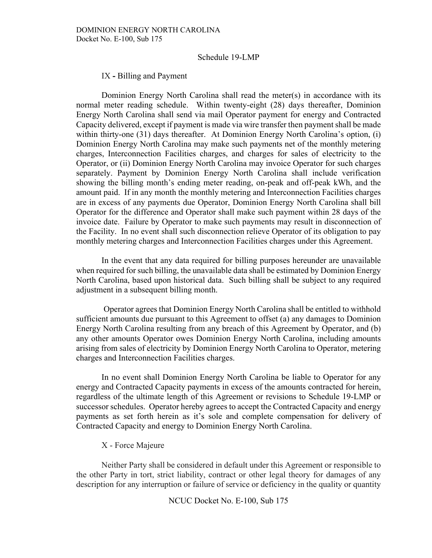IX **-** Billing and Payment

Dominion Energy North Carolina shall read the meter(s) in accordance with its normal meter reading schedule. Within twenty-eight (28) days thereafter, Dominion Energy North Carolina shall send via mail Operator payment for energy and Contracted Capacity delivered, except if payment is made via wire transfer then payment shall be made within thirty-one (31) days thereafter. At Dominion Energy North Carolina's option, (i) Dominion Energy North Carolina may make such payments net of the monthly metering charges, Interconnection Facilities charges, and charges for sales of electricity to the Operator, or (ii) Dominion Energy North Carolina may invoice Operator for such charges separately. Payment by Dominion Energy North Carolina shall include verification showing the billing month's ending meter reading, on-peak and off-peak kWh, and the amount paid. If in any month the monthly metering and Interconnection Facilities charges are in excess of any payments due Operator, Dominion Energy North Carolina shall bill Operator for the difference and Operator shall make such payment within 28 days of the invoice date. Failure by Operator to make such payments may result in disconnection of the Facility. In no event shall such disconnection relieve Operator of its obligation to pay monthly metering charges and Interconnection Facilities charges under this Agreement.

In the event that any data required for billing purposes hereunder are unavailable when required for such billing, the unavailable data shall be estimated by Dominion Energy North Carolina, based upon historical data. Such billing shall be subject to any required adjustment in a subsequent billing month.

Operator agrees that Dominion Energy North Carolina shall be entitled to withhold sufficient amounts due pursuant to this Agreement to offset (a) any damages to Dominion Energy North Carolina resulting from any breach of this Agreement by Operator, and (b) any other amounts Operator owes Dominion Energy North Carolina, including amounts arising from sales of electricity by Dominion Energy North Carolina to Operator, metering charges and Interconnection Facilities charges.

In no event shall Dominion Energy North Carolina be liable to Operator for any energy and Contracted Capacity payments in excess of the amounts contracted for herein, regardless of the ultimate length of this Agreement or revisions to Schedule 19-LMP or successor schedules. Operator hereby agrees to accept the Contracted Capacity and energy payments as set forth herein as it's sole and complete compensation for delivery of Contracted Capacity and energy to Dominion Energy North Carolina.

#### X - Force Majeure

Neither Party shall be considered in default under this Agreement or responsible to the other Party in tort, strict liability, contract or other legal theory for damages of any description for any interruption or failure of service or deficiency in the quality or quantity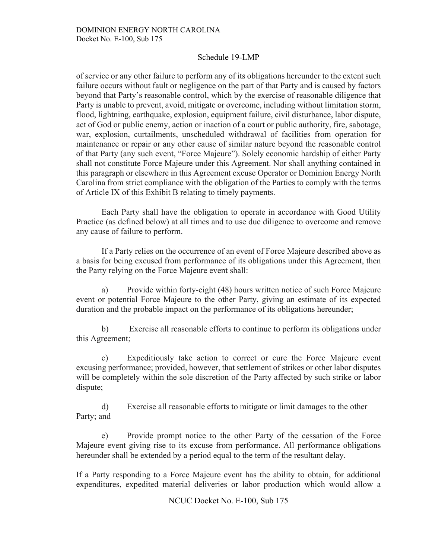of service or any other failure to perform any of its obligations hereunder to the extent such failure occurs without fault or negligence on the part of that Party and is caused by factors beyond that Party's reasonable control, which by the exercise of reasonable diligence that Party is unable to prevent, avoid, mitigate or overcome, including without limitation storm, flood, lightning, earthquake, explosion, equipment failure, civil disturbance, labor dispute, act of God or public enemy, action or inaction of a court or public authority, fire, sabotage, war, explosion, curtailments, unscheduled withdrawal of facilities from operation for maintenance or repair or any other cause of similar nature beyond the reasonable control of that Party (any such event, "Force Majeure"). Solely economic hardship of either Party shall not constitute Force Majeure under this Agreement. Nor shall anything contained in this paragraph or elsewhere in this Agreement excuse Operator or Dominion Energy North Carolina from strict compliance with the obligation of the Parties to comply with the terms of Article IX of this Exhibit B relating to timely payments.

Each Party shall have the obligation to operate in accordance with Good Utility Practice (as defined below) at all times and to use due diligence to overcome and remove any cause of failure to perform.

If a Party relies on the occurrence of an event of Force Majeure described above as a basis for being excused from performance of its obligations under this Agreement, then the Party relying on the Force Majeure event shall:

a) Provide within forty-eight (48) hours written notice of such Force Majeure event or potential Force Majeure to the other Party, giving an estimate of its expected duration and the probable impact on the performance of its obligations hereunder;

b) Exercise all reasonable efforts to continue to perform its obligations under this Agreement;

c) Expeditiously take action to correct or cure the Force Majeure event excusing performance; provided, however, that settlement of strikes or other labor disputes will be completely within the sole discretion of the Party affected by such strike or labor dispute;

d) Exercise all reasonable efforts to mitigate or limit damages to the other Party; and

e) Provide prompt notice to the other Party of the cessation of the Force Majeure event giving rise to its excuse from performance. All performance obligations hereunder shall be extended by a period equal to the term of the resultant delay.

If a Party responding to a Force Majeure event has the ability to obtain, for additional expenditures, expedited material deliveries or labor production which would allow a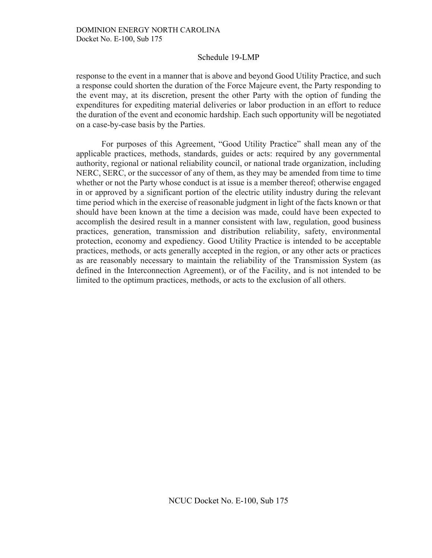response to the event in a manner that is above and beyond Good Utility Practice, and such a response could shorten the duration of the Force Majeure event, the Party responding to the event may, at its discretion, present the other Party with the option of funding the expenditures for expediting material deliveries or labor production in an effort to reduce the duration of the event and economic hardship. Each such opportunity will be negotiated on a case-by-case basis by the Parties.

For purposes of this Agreement, "Good Utility Practice" shall mean any of the applicable practices, methods, standards, guides or acts: required by any governmental authority, regional or national reliability council, or national trade organization, including NERC, SERC, or the successor of any of them, as they may be amended from time to time whether or not the Party whose conduct is at issue is a member thereof; otherwise engaged in or approved by a significant portion of the electric utility industry during the relevant time period which in the exercise of reasonable judgment in light of the facts known or that should have been known at the time a decision was made, could have been expected to accomplish the desired result in a manner consistent with law, regulation, good business practices, generation, transmission and distribution reliability, safety, environmental protection, economy and expediency. Good Utility Practice is intended to be acceptable practices, methods, or acts generally accepted in the region, or any other acts or practices as are reasonably necessary to maintain the reliability of the Transmission System (as defined in the Interconnection Agreement), or of the Facility, and is not intended to be limited to the optimum practices, methods, or acts to the exclusion of all others.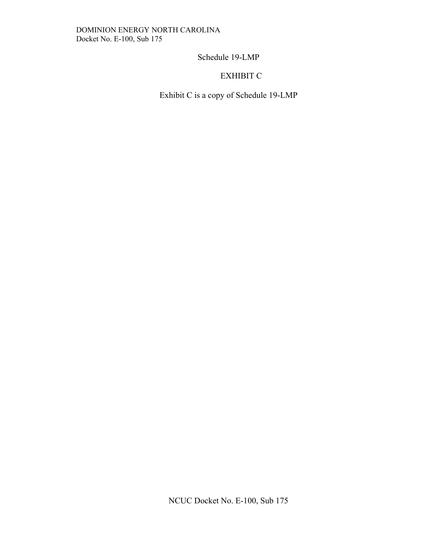# EXHIBIT C

Exhibit C is a copy of Schedule 19-LMP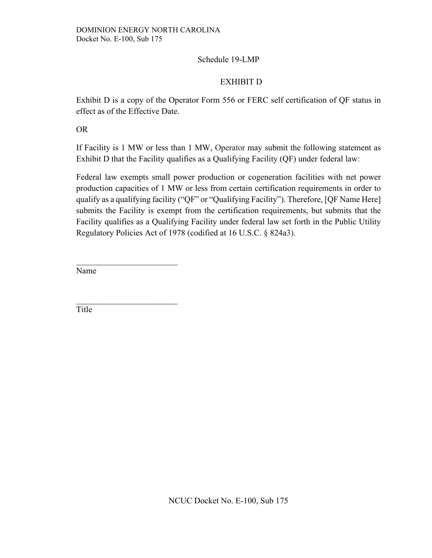## EXHIBIT D

Exhibit D is a copy of the Operator Form 556 or FERC self certification of QF status in effect as of the Effective Date.

OR

If Facility is 1 MW or less than 1 MW, Operator may submit the following statement as Exhibit D that the Facility qualifies as a Qualifying Facility (QF) under federal law:

Federal law exempts small power production or cogeneration facilities with net power production capacities of 1 MW or less from certain certification requirements in order to qualify as a qualifying facility ("QF" or "Qualifying Facility"). Therefore, [QF Name Here] submits the Facility is exempt from the certification requirements, but submits that the Facility qualifies as a Qualifying Facility under federal law set forth in the Public Utility Regulatory Policies Act of 1978 (codified at 16 U.S.C. § 824a3).

Name

\_\_\_\_\_\_\_\_\_\_\_\_\_\_\_\_\_\_\_\_\_\_\_\_

Title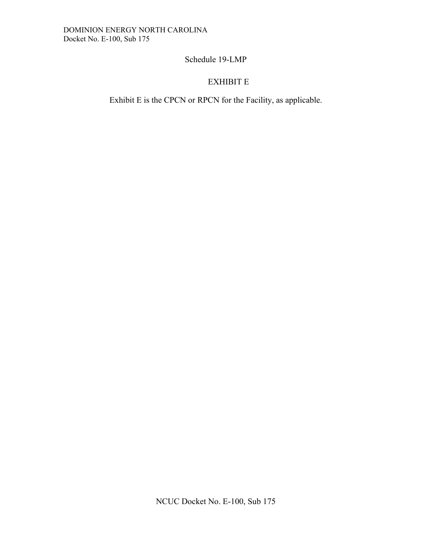# EXHIBIT E

Exhibit E is the CPCN or RPCN for the Facility, as applicable.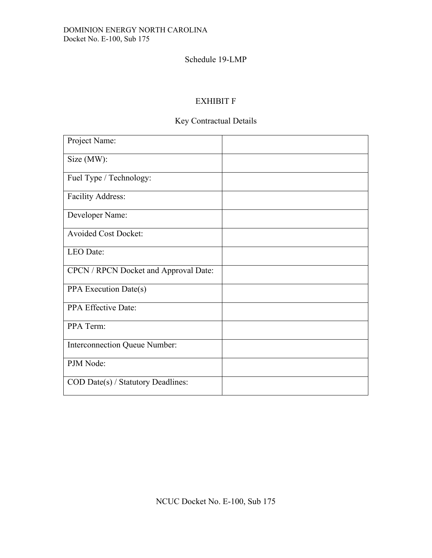## EXHIBIT F

# Key Contractual Details

| Project Name:                         |  |
|---------------------------------------|--|
| Size (MW):                            |  |
| Fuel Type / Technology:               |  |
| Facility Address:                     |  |
| Developer Name:                       |  |
| <b>Avoided Cost Docket:</b>           |  |
| LEO Date:                             |  |
| CPCN / RPCN Docket and Approval Date: |  |
| PPA Execution Date(s)                 |  |
| PPA Effective Date:                   |  |
| PPA Term:                             |  |
| Interconnection Queue Number:         |  |
| PJM Node:                             |  |
| COD Date(s) / Statutory Deadlines:    |  |